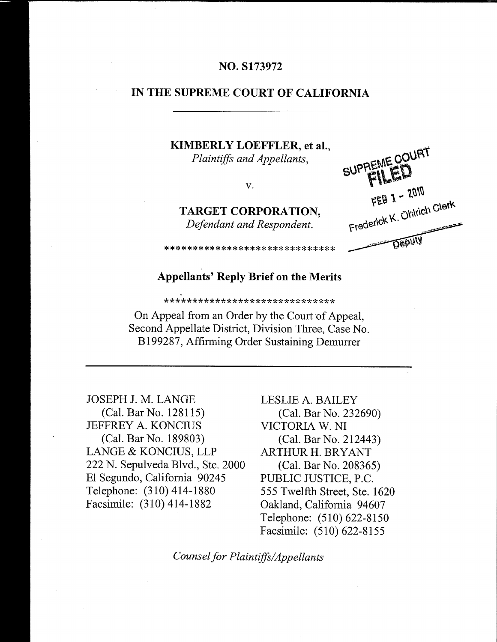## NO. S173972

#### IN THE SUPREME COURT OF CALIFORNIA

## KIMBERLY LOEFFLER, et al., Plaintiffs and Appellants,

V.

TARGET CORPORATION, Defendant and Respondent.

SUPPEME COURT FEB 1 - 2010 Frederick K. Ohlrich Clerk **Deputy** 

#### **Appellants' Reply Brief on the Merits**

\*\*\*\*\*\*\*\*\*\*\*\*\*\*\*\*\*\*\*\*\*\*\*\*\*\*\*\*\*\*

\*\*\*\*\*\*\*\*\*\*\*\*\*\*\*\*\*\*\*\*\*\*\*\*\*\*\*\*\*

On Appeal from an Order by the Court of Appeal, Second Appellate District, Division Three, Case No. B199287, Affirming Order Sustaining Demurrer

**JOSEPH J. M. LANGE** (Cal. Bar No. 128115) **JEFFREY A. KONCIUS** (Cal. Bar No. 189803) LANGE & KONCIUS, LLP 222 N. Sepulveda Blvd., Ste. 2000 El Segundo, California 90245 Telephone: (310) 414-1880 Facsimile: (310) 414-1882

LESLIE A. BAILEY (Cal. Bar No. 232690) VICTORIA W. NI (Cal. Bar No. 212443) **ARTHUR H. BRYANT** (Cal. Bar No. 208365) PUBLIC JUSTICE, P.C. 555 Twelfth Street, Ste. 1620 Oakland, California 94607 Telephone: (510) 622-8150 Facsimile: (510) 622-8155

Counsel for Plaintiffs/Appellants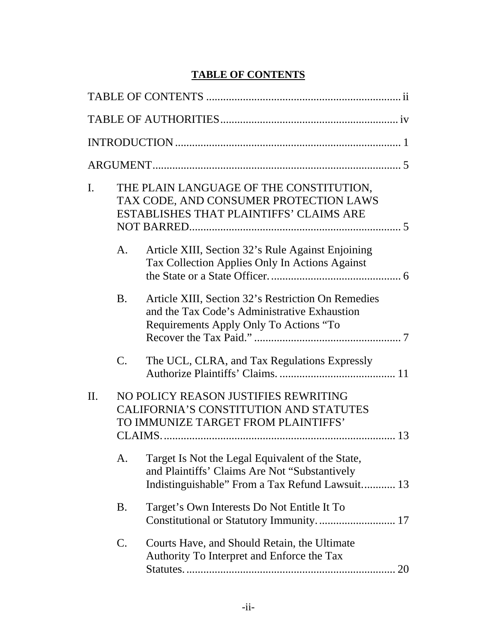# **TABLE OF CONTENTS**

<span id="page-1-0"></span>

| $\mathbf{I}$ . |           | THE PLAIN LANGUAGE OF THE CONSTITUTION,<br>TAX CODE, AND CONSUMER PROTECTION LAWS<br><b>ESTABLISHES THAT PLAINTIFFS' CLAIMS ARE</b>                  |
|----------------|-----------|------------------------------------------------------------------------------------------------------------------------------------------------------|
|                | A.        | Article XIII, Section 32's Rule Against Enjoining<br>Tax Collection Applies Only In Actions Against                                                  |
|                | <b>B.</b> | Article XIII, Section 32's Restriction On Remedies<br>and the Tax Code's Administrative Exhaustion<br>Requirements Apply Only To Actions "To         |
|                | C.        | The UCL, CLRA, and Tax Regulations Expressly                                                                                                         |
| $\Pi$ .        |           | NO POLICY REASON JUSTIFIES REWRITING<br><b>CALIFORNIA'S CONSTITUTION AND STATUTES</b><br>TO IMMUNIZE TARGET FROM PLAINTIFFS'<br>13                   |
|                | A.        | Target Is Not the Legal Equivalent of the State,<br>and Plaintiffs' Claims Are Not "Substantively<br>Indistinguishable" From a Tax Refund Lawsuit 13 |
|                | <b>B.</b> | Target's Own Interests Do Not Entitle It To<br>Constitutional or Statutory Immunity 17                                                               |
|                | C.        | Courts Have, and Should Retain, the Ultimate<br>Authority To Interpret and Enforce the Tax<br>20                                                     |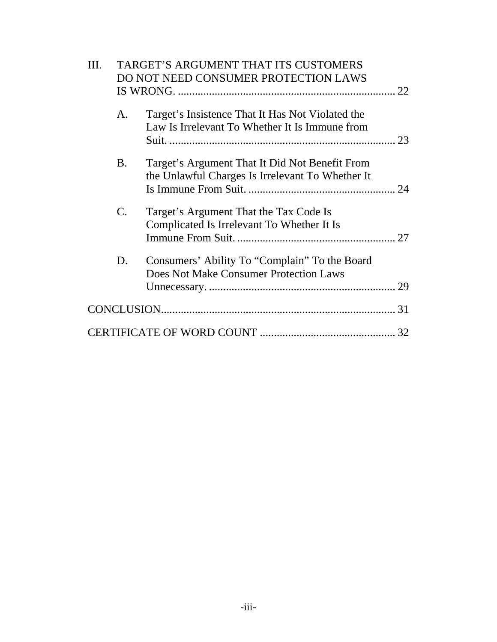| III. | TARGET'S ARGUMENT THAT ITS CUSTOMERS |                                                                                                    |  |  |
|------|--------------------------------------|----------------------------------------------------------------------------------------------------|--|--|
|      |                                      | DO NOT NEED CONSUMER PROTECTION LAWS                                                               |  |  |
|      |                                      |                                                                                                    |  |  |
|      | A.                                   | Target's Insistence That It Has Not Violated the<br>Law Is Irrelevant To Whether It Is Immune from |  |  |
|      | <b>B.</b>                            | Target's Argument That It Did Not Benefit From<br>the Unlawful Charges Is Irrelevant To Whether It |  |  |
|      | C.                                   | Target's Argument That the Tax Code Is<br>Complicated Is Irrelevant To Whether It Is               |  |  |
|      | D.                                   | Consumers' Ability To "Complain" To the Board<br>Does Not Make Consumer Protection Laws            |  |  |
|      |                                      |                                                                                                    |  |  |
|      |                                      |                                                                                                    |  |  |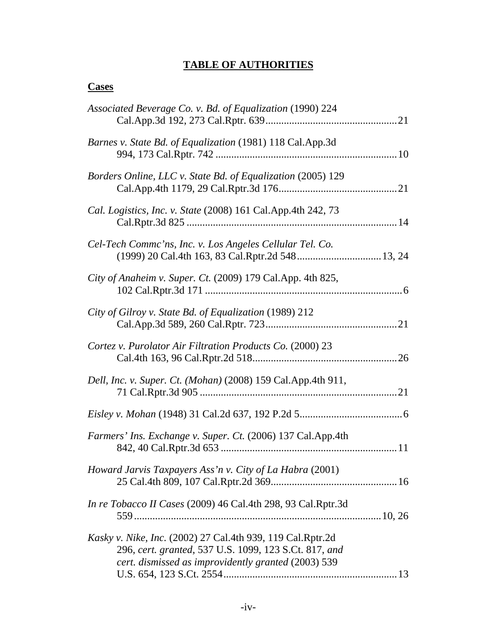## **TABLE OF AUTHORITIES**

# <span id="page-3-0"></span>**Cases**

| Associated Beverage Co. v. Bd. of Equalization (1990) 224                                                                                                                  |
|----------------------------------------------------------------------------------------------------------------------------------------------------------------------------|
| Barnes v. State Bd. of Equalization (1981) 118 Cal.App.3d                                                                                                                  |
| Borders Online, LLC v. State Bd. of Equalization (2005) 129                                                                                                                |
| Cal. Logistics, Inc. v. State (2008) 161 Cal. App. 4th 242, 73                                                                                                             |
| Cel-Tech Commc'ns, Inc. v. Los Angeles Cellular Tel. Co.                                                                                                                   |
| City of Anaheim v. Super. Ct. (2009) 179 Cal. App. 4th 825,                                                                                                                |
| City of Gilroy v. State Bd. of Equalization (1989) 212                                                                                                                     |
| Cortez v. Purolator Air Filtration Products Co. (2000) 23                                                                                                                  |
| Dell, Inc. v. Super. Ct. (Mohan) (2008) 159 Cal.App.4th 911,                                                                                                               |
|                                                                                                                                                                            |
| Farmers' Ins. Exchange v. Super. Ct. (2006) 137 Cal.App.4th                                                                                                                |
| Howard Jarvis Taxpayers Ass'n v. City of La Habra (2001)                                                                                                                   |
| In re Tobacco II Cases (2009) 46 Cal.4th 298, 93 Cal.Rptr.3d                                                                                                               |
| Kasky v. Nike, Inc. (2002) 27 Cal.4th 939, 119 Cal.Rptr.2d<br>296, cert. granted, 537 U.S. 1099, 123 S.Ct. 817, and<br>cert. dismissed as improvidently granted (2003) 539 |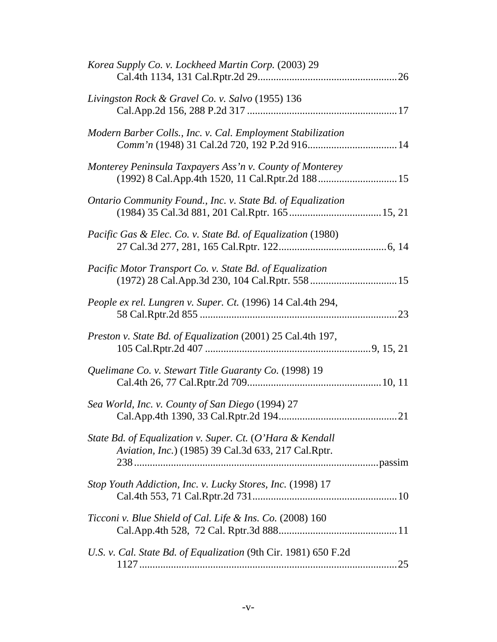| Korea Supply Co. v. Lockheed Martin Corp. (2003) 29                                                                      |  |
|--------------------------------------------------------------------------------------------------------------------------|--|
| Livingston Rock & Gravel Co. v. Salvo (1955) 136                                                                         |  |
| Modern Barber Colls., Inc. v. Cal. Employment Stabilization<br>Comm'n (1948) 31 Cal.2d 720, 192 P.2d 916 14              |  |
| Monterey Peninsula Taxpayers Ass'n v. County of Monterey<br>(1992) 8 Cal.App.4th 1520, 11 Cal.Rptr.2d 188 15             |  |
| Ontario Community Found., Inc. v. State Bd. of Equalization                                                              |  |
| Pacific Gas & Elec. Co. v. State Bd. of Equalization (1980)                                                              |  |
| Pacific Motor Transport Co. v. State Bd. of Equalization                                                                 |  |
| People ex rel. Lungren v. Super. Ct. (1996) 14 Cal.4th 294,                                                              |  |
| Preston v. State Bd. of Equalization (2001) 25 Cal.4th 197,                                                              |  |
| Quelimane Co. v. Stewart Title Guaranty Co. (1998) 19                                                                    |  |
| Sea World, Inc. v. County of San Diego (1994) 27                                                                         |  |
| State Bd. of Equalization v. Super. Ct. (O'Hara & Kendall<br><i>Aviation, Inc.</i> ) (1985) 39 Cal.3d 633, 217 Cal.Rptr. |  |
| Stop Youth Addiction, Inc. v. Lucky Stores, Inc. (1998) 17                                                               |  |
| Ticconi v. Blue Shield of Cal. Life & Ins. Co. (2008) 160                                                                |  |
| U.S. v. Cal. State Bd. of Equalization (9th Cir. 1981) 650 F.2d                                                          |  |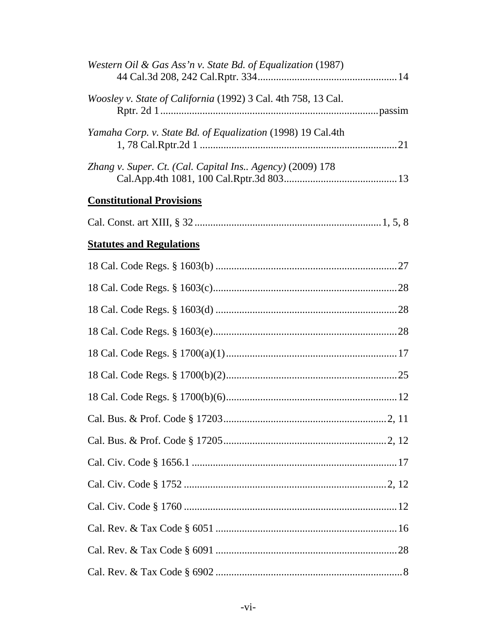| Western Oil & Gas Ass'n v. State Bd. of Equalization (1987)   |  |
|---------------------------------------------------------------|--|
| Woosley v. State of California (1992) 3 Cal. 4th 758, 13 Cal. |  |
| Yamaha Corp. v. State Bd. of Equalization (1998) 19 Cal.4th   |  |
| Zhang v. Super. Ct. (Cal. Capital Ins Agency) (2009) 178      |  |
| <b>Constitutional Provisions</b>                              |  |
|                                                               |  |
| <b>Statutes and Regulations</b>                               |  |
|                                                               |  |
|                                                               |  |
|                                                               |  |
|                                                               |  |
|                                                               |  |
|                                                               |  |
|                                                               |  |
|                                                               |  |
|                                                               |  |
|                                                               |  |
|                                                               |  |
|                                                               |  |
|                                                               |  |
|                                                               |  |
|                                                               |  |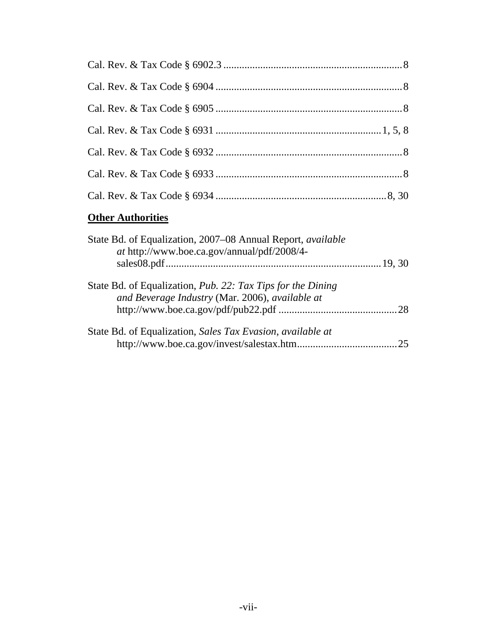# **Other Authorities**

| State Bd. of Equalization, 2007–08 Annual Report, available<br>at http://www.boe.ca.gov/annual/pdf/2008/4-     |  |
|----------------------------------------------------------------------------------------------------------------|--|
|                                                                                                                |  |
| State Bd. of Equalization, Pub. 22: Tax Tips for the Dining<br>and Beverage Industry (Mar. 2006), available at |  |
|                                                                                                                |  |
| State Bd. of Equalization, Sales Tax Evasion, available at                                                     |  |
|                                                                                                                |  |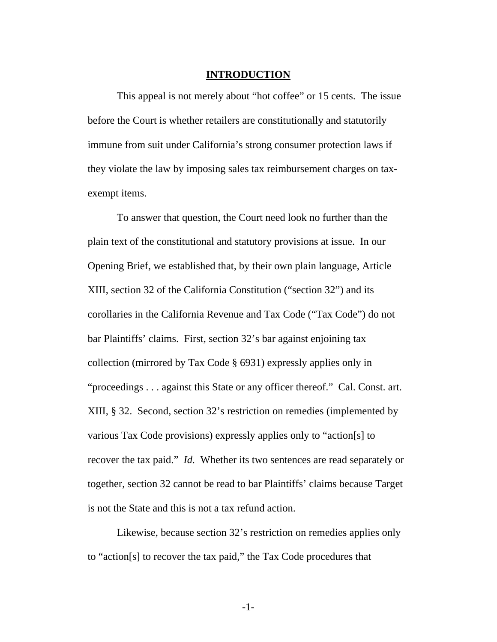#### **INTRODUCTION**

<span id="page-7-0"></span>This appeal is not merely about "hot coffee" or 15 cents. The issue before the Court is whether retailers are constitutionally and statutorily immune from suit under California's strong consumer protection laws if they violate the law by imposing sales tax reimbursement charges on taxexempt items.

To answer that question, the Court need look no further than the plain text of the constitutional and statutory provisions at issue. In our Opening Brief, we established that, by their own plain language, Article XIII, section 32 of the California Constitution ("section 32") and its corollaries in the California Revenue and Tax Code ("Tax Code") do not bar Plaintiffs' claims. First, section 32's bar against enjoining tax collection (mirrored by Tax Code § 6931) expressly applies only in "proceedings . . . against this State or any officer thereof." Cal. Const. art. XIII, § 32. Second, section 32's restriction on remedies (implemented by various Tax Code provisions) expressly applies only to "action[s] to recover the tax paid." *Id.* Whether its two sentences are read separately or together, section 32 cannot be read to bar Plaintiffs' claims because Target is not the State and this is not a tax refund action.

Likewise, because section 32's restriction on remedies applies only to "action[s] to recover the tax paid," the Tax Code procedures that

-1-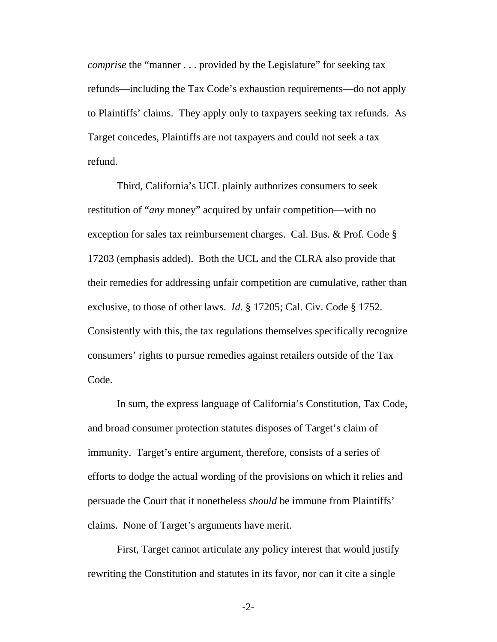*comprise* the "manner . . . provided by the Legislature" for seeking tax refunds—including the Tax Code's exhaustion requirements—do not apply to Plaintiffs' claims. They apply only to taxpayers seeking tax refunds. As Target concedes, Plaintiffs are not taxpayers and could not seek a tax refund.

Third, California's UCL plainly authorizes consumers to seek restitution of "*any* money" acquired by unfair competition—with no exception for sales tax reimbursement charges. Cal. Bus. & Prof. Code § 17203 (emphasis added). Both the UCL and the CLRA also provide that their remedies for addressing unfair competition are cumulative, rather than exclusive, to those of other laws. *Id.* § 17205; Cal. Civ. Code § 1752. Consistently with this, the tax regulations themselves specifically recognize consumers' rights to pursue remedies against retailers outside of the Tax Code.

In sum, the express language of California's Constitution, Tax Code, and broad consumer protection statutes disposes of Target's claim of immunity. Target's entire argument, therefore, consists of a series of efforts to dodge the actual wording of the provisions on which it relies and persuade the Court that it nonetheless *should* be immune from Plaintiffs' claims. None of Target's arguments have merit.

First, Target cannot articulate any policy interest that would justify rewriting the Constitution and statutes in its favor, nor can it cite a single

-2-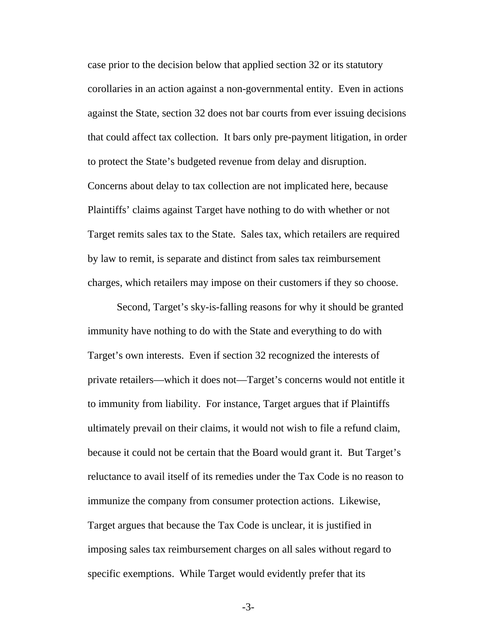case prior to the decision below that applied section 32 or its statutory corollaries in an action against a non-governmental entity. Even in actions against the State, section 32 does not bar courts from ever issuing decisions that could affect tax collection. It bars only pre-payment litigation, in order to protect the State's budgeted revenue from delay and disruption. Concerns about delay to tax collection are not implicated here, because Plaintiffs' claims against Target have nothing to do with whether or not Target remits sales tax to the State. Sales tax, which retailers are required by law to remit, is separate and distinct from sales tax reimbursement charges, which retailers may impose on their customers if they so choose.

Second, Target's sky-is-falling reasons for why it should be granted immunity have nothing to do with the State and everything to do with Target's own interests. Even if section 32 recognized the interests of private retailers—which it does not—Target's concerns would not entitle it to immunity from liability. For instance, Target argues that if Plaintiffs ultimately prevail on their claims, it would not wish to file a refund claim, because it could not be certain that the Board would grant it. But Target's reluctance to avail itself of its remedies under the Tax Code is no reason to immunize the company from consumer protection actions. Likewise, Target argues that because the Tax Code is unclear, it is justified in imposing sales tax reimbursement charges on all sales without regard to specific exemptions. While Target would evidently prefer that its

-3-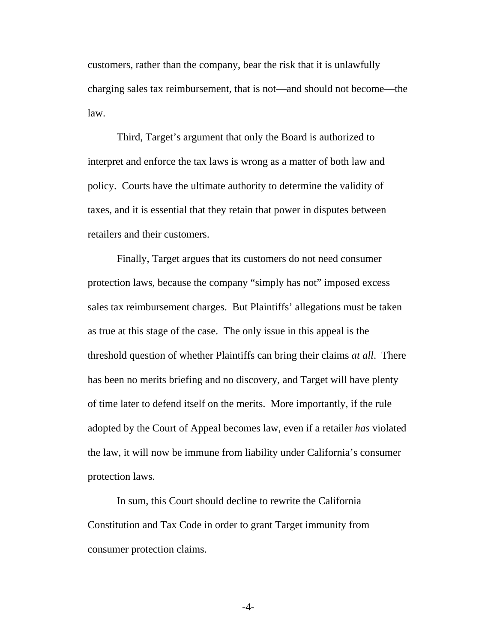customers, rather than the company, bear the risk that it is unlawfully charging sales tax reimbursement, that is not—and should not become—the law.

Third, Target's argument that only the Board is authorized to interpret and enforce the tax laws is wrong as a matter of both law and policy. Courts have the ultimate authority to determine the validity of taxes, and it is essential that they retain that power in disputes between retailers and their customers.

Finally, Target argues that its customers do not need consumer protection laws, because the company "simply has not" imposed excess sales tax reimbursement charges. But Plaintiffs' allegations must be taken as true at this stage of the case. The only issue in this appeal is the threshold question of whether Plaintiffs can bring their claims *at all*. There has been no merits briefing and no discovery, and Target will have plenty of time later to defend itself on the merits. More importantly, if the rule adopted by the Court of Appeal becomes law, even if a retailer *has* violated the law, it will now be immune from liability under California's consumer protection laws.

In sum, this Court should decline to rewrite the California Constitution and Tax Code in order to grant Target immunity from consumer protection claims.

-4-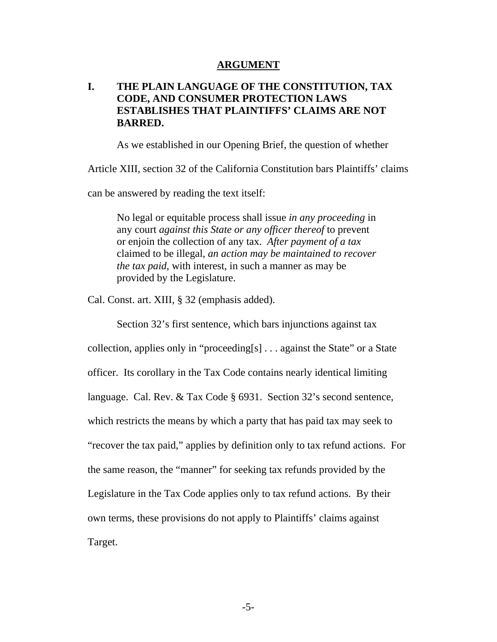#### **ARGUMENT**

## <span id="page-11-0"></span>**I. THE PLAIN LANGUAGE OF THE CONSTITUTION, TAX CODE, AND CONSUMER PROTECTION LAWS ESTABLISHES THAT PLAINTIFFS' CLAIMS ARE NOT BARRED.**

As we established in our Opening Brief, the question of whether

Article XIII, section 32 of the California Constitution bars Plaintiffs' claims

can be answered by reading the text itself:

No legal or equitable process shall issue *in any proceeding* in any court *against this State or any officer thereof* to prevent or enjoin the collection of any tax. *After payment of a tax* claimed to be illegal, *an action may be maintained to recover the tax paid*, with interest, in such a manner as may be provided by the Legislature.

Cal. Const. art. XIII, § 32 (emphasis added).

Section 32's first sentence, which bars injunctions against tax collection, applies only in "proceeding[s] . . . against the State" or a State officer. Its corollary in the Tax Code contains nearly identical limiting language. Cal. Rev. & Tax Code § 6931. Section 32's second sentence, which restricts the means by which a party that has paid tax may seek to "recover the tax paid," applies by definition only to tax refund actions. For the same reason, the "manner" for seeking tax refunds provided by the Legislature in the Tax Code applies only to tax refund actions. By their own terms, these provisions do not apply to Plaintiffs' claims against Target.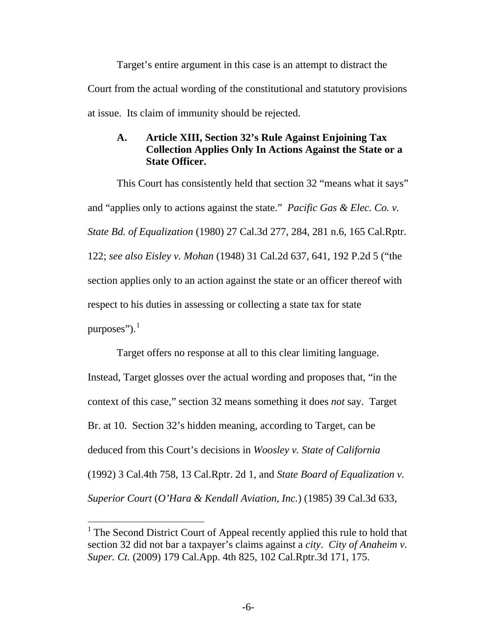<span id="page-12-0"></span>Target's entire argument in this case is an attempt to distract the Court from the actual wording of the constitutional and statutory provisions at issue. Its claim of immunity should be rejected.

## **A. Article XIII, Section 32's Rule Against Enjoining Tax Collection Applies Only In Actions Against the State or a State Officer.**

 This Court has consistently held that section 32 "means what it says" and "applies only to actions against the state." *Pacific Gas & Elec. Co. v. State Bd. of Equalization* (1980) 27 Cal.3d 277, 284, 281 n.6, 165 Cal.Rptr. 122; *see also Eisley v. Mohan* (1948) 31 Cal.2d 637, 641, 192 P.2d 5 ("the section applies only to an action against the state or an officer thereof with respect to his duties in assessing or collecting a state tax for state purposes"). $^1$  $^1$ 

 Target offers no response at all to this clear limiting language. Instead, Target glosses over the actual wording and proposes that, "in the context of this case," section 32 means something it does *not* say. Target Br. at 10. Section 32's hidden meaning, according to Target, can be deduced from this Court's decisions in *Woosley v. State of California* (1992) 3 Cal.4th 758, 13 Cal.Rptr. 2d 1, and *State Board of Equalization v. Superior Court* (*O'Hara & Kendall Aviation, Inc.*) (1985) 39 Cal.3d 633,

 $\overline{a}$ 

<span id="page-12-1"></span><sup>&</sup>lt;sup>1</sup> The Second District Court of Appeal recently applied this rule to hold that section 32 did not bar a taxpayer's claims against a *city*. *City of Anaheim v. Super. Ct.* (2009) 179 Cal.App. 4th 825, 102 Cal.Rptr.3d 171, 175.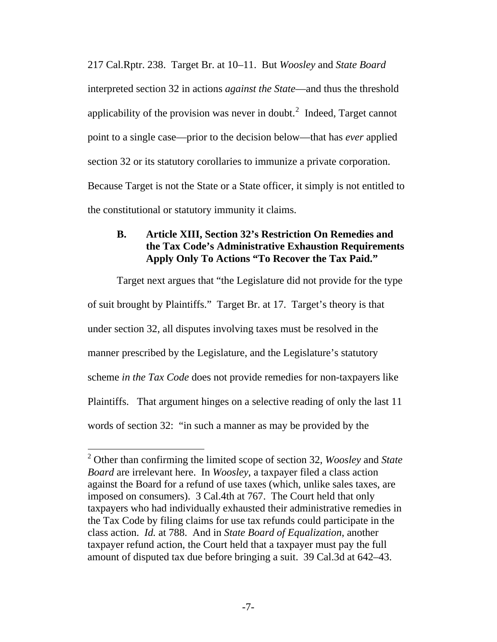<span id="page-13-0"></span>217 Cal.Rptr. 238. Target Br. at 10–11. But *Woosley* and *State Board* interpreted section 32 in actions *against the State*—and thus the threshold applicability of the provision was never in doubt.<sup>[2](#page-13-1)</sup> Indeed, Target cannot point to a single case—prior to the decision below—that has *ever* applied section 32 or its statutory corollaries to immunize a private corporation. Because Target is not the State or a State officer, it simply is not entitled to the constitutional or statutory immunity it claims.

## **B. Article XIII, Section 32's Restriction On Remedies and the Tax Code's Administrative Exhaustion Requirements Apply Only To Actions "To Recover the Tax Paid."**

Target next argues that "the Legislature did not provide for the type of suit brought by Plaintiffs." Target Br. at 17. Target's theory is that under section 32, all disputes involving taxes must be resolved in the manner prescribed by the Legislature, and the Legislature's statutory scheme *in the Tax Code* does not provide remedies for non-taxpayers like Plaintiffs. That argument hinges on a selective reading of only the last 11 words of section 32: "in such a manner as may be provided by the

 $\overline{a}$ 

<span id="page-13-1"></span><sup>2</sup> Other than confirming the limited scope of section 32, *Woosley* and *State Board* are irrelevant here. In *Woosley*, a taxpayer filed a class action against the Board for a refund of use taxes (which, unlike sales taxes, are imposed on consumers). 3 Cal.4th at 767. The Court held that only taxpayers who had individually exhausted their administrative remedies in the Tax Code by filing claims for use tax refunds could participate in the class action. *Id.* at 788. And in *State Board of Equalization*, another taxpayer refund action, the Court held that a taxpayer must pay the full amount of disputed tax due before bringing a suit. 39 Cal.3d at 642–43.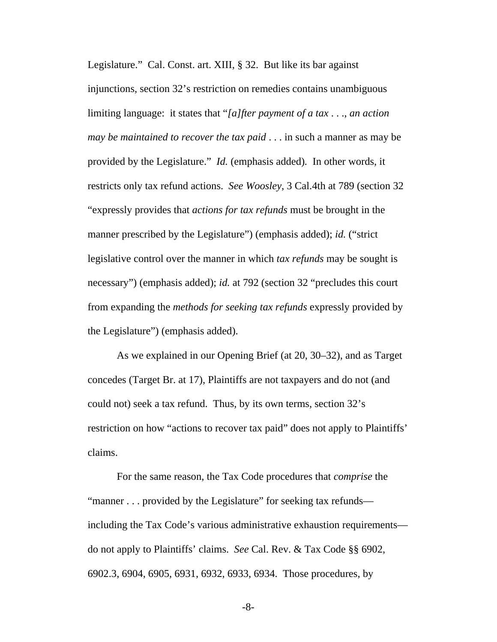Legislature." Cal. Const. art. XIII, § 32. But like its bar against injunctions, section 32's restriction on remedies contains unambiguous limiting language: it states that "*[a]fter payment of a tax* . . ., *an action may be maintained to recover the tax paid* . . . in such a manner as may be provided by the Legislature." *Id.* (emphasis added)*.* In other words, it restricts only tax refund actions. *See Woosley*, 3 Cal.4th at 789 (section 32 "expressly provides that *actions for tax refunds* must be brought in the manner prescribed by the Legislature") (emphasis added); *id.* ("strict legislative control over the manner in which *tax refunds* may be sought is necessary") (emphasis added); *id.* at 792 (section 32 "precludes this court from expanding the *methods for seeking tax refunds* expressly provided by the Legislature") (emphasis added).

As we explained in our Opening Brief (at 20, 30–32), and as Target concedes (Target Br. at 17), Plaintiffs are not taxpayers and do not (and could not) seek a tax refund. Thus, by its own terms, section 32's restriction on how "actions to recover tax paid" does not apply to Plaintiffs' claims.

For the same reason, the Tax Code procedures that *comprise* the "manner . . . provided by the Legislature" for seeking tax refunds including the Tax Code's various administrative exhaustion requirements do not apply to Plaintiffs' claims. *See* Cal. Rev. & Tax Code §§ 6902, 6902.3, 6904, 6905, 6931, 6932, 6933, 6934. Those procedures, by

-8-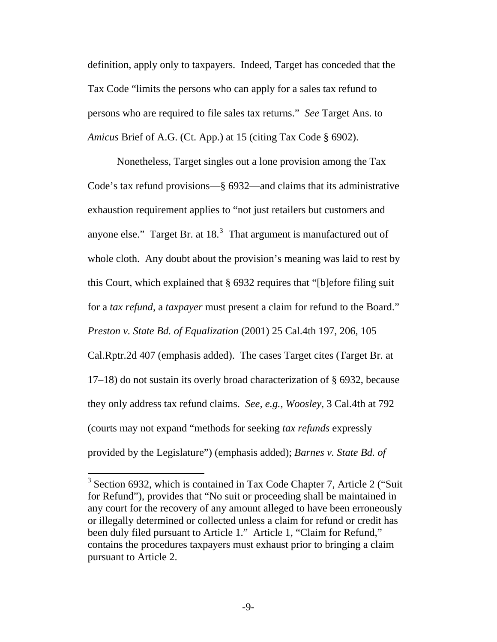definition, apply only to taxpayers. Indeed, Target has conceded that the Tax Code "limits the persons who can apply for a sales tax refund to persons who are required to file sales tax returns." *See* Target Ans. to *Amicus* Brief of A.G. (Ct. App.) at 15 (citing Tax Code § 6902).

Nonetheless, Target singles out a lone provision among the Tax Code's tax refund provisions—§ 6932—and claims that its administrative exhaustion requirement applies to "not just retailers but customers and anyone else." Target Br. at  $18<sup>3</sup>$  $18<sup>3</sup>$  $18<sup>3</sup>$  That argument is manufactured out of whole cloth. Any doubt about the provision's meaning was laid to rest by this Court, which explained that § 6932 requires that "[b]efore filing suit for a *tax refund*, a *taxpayer* must present a claim for refund to the Board." *Preston v. State Bd. of Equalization* (2001) 25 Cal.4th 197, 206, 105 Cal.Rptr.2d 407 (emphasis added). The cases Target cites (Target Br. at 17–18) do not sustain its overly broad characterization of § 6932, because they only address tax refund claims. *See, e.g.*, *Woosley*, 3 Cal.4th at 792 (courts may not expand "methods for seeking *tax refunds* expressly provided by the Legislature") (emphasis added); *Barnes v. State Bd. of* 

 $\overline{a}$ 

<span id="page-15-0"></span> $3$  Section 6932, which is contained in Tax Code Chapter 7, Article 2 ("Suit for Refund"), provides that "No suit or proceeding shall be maintained in any court for the recovery of any amount alleged to have been erroneously or illegally determined or collected unless a claim for refund or credit has been duly filed pursuant to Article 1." Article 1, "Claim for Refund," contains the procedures taxpayers must exhaust prior to bringing a claim pursuant to Article 2.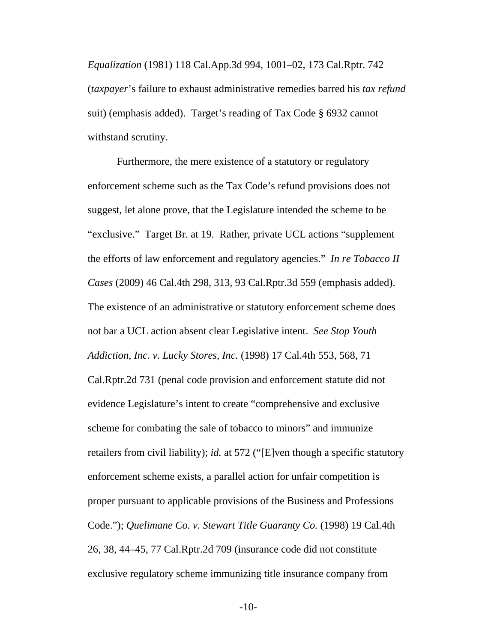*Equalization* (1981) 118 Cal.App.3d 994, 1001–02, 173 Cal.Rptr. 742 (*taxpayer*'s failure to exhaust administrative remedies barred his *tax refund* suit) (emphasis added). Target's reading of Tax Code § 6932 cannot withstand scrutiny.

Furthermore, the mere existence of a statutory or regulatory enforcement scheme such as the Tax Code's refund provisions does not suggest, let alone prove, that the Legislature intended the scheme to be "exclusive." Target Br. at 19. Rather, private UCL actions "supplement the efforts of law enforcement and regulatory agencies." *In re Tobacco II Cases* (2009) 46 Cal.4th 298, 313, 93 Cal.Rptr.3d 559 (emphasis added). The existence of an administrative or statutory enforcement scheme does not bar a UCL action absent clear Legislative intent. *See Stop Youth Addiction, Inc. v. Lucky Stores, Inc.* (1998) 17 Cal.4th 553, 568, 71 Cal.Rptr.2d 731 (penal code provision and enforcement statute did not evidence Legislature's intent to create "comprehensive and exclusive scheme for combating the sale of tobacco to minors" and immunize retailers from civil liability); *id.* at 572 ("[E]ven though a specific statutory enforcement scheme exists, a parallel action for unfair competition is proper pursuant to applicable provisions of the Business and Professions Code."); *Quelimane Co. v. Stewart Title Guaranty Co.* (1998) 19 Cal.4th 26, 38, 44–45, 77 Cal.Rptr.2d 709 (insurance code did not constitute exclusive regulatory scheme immunizing title insurance company from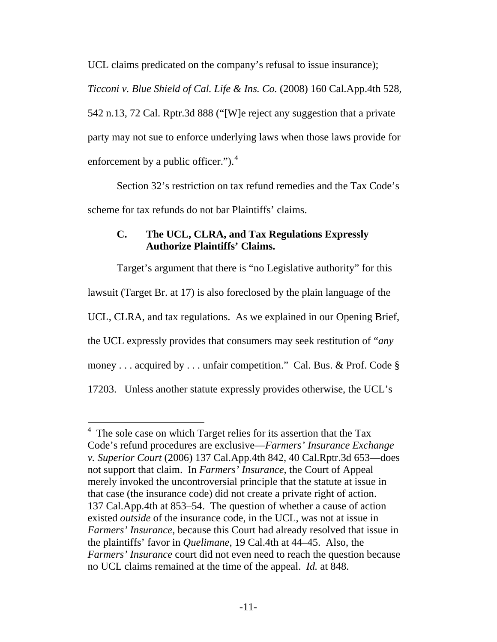<span id="page-17-0"></span>UCL claims predicated on the company's refusal to issue insurance); *Ticconi v. Blue Shield of Cal. Life & Ins. Co.* (2008) 160 Cal.App.4th 528, 542 n.13, 72 Cal. Rptr.3d 888 ("[W]e reject any suggestion that a private party may not sue to enforce underlying laws when those laws provide for enforcement by a public officer."). $4$ 

Section 32's restriction on tax refund remedies and the Tax Code's scheme for tax refunds do not bar Plaintiffs' claims.

## **C. The UCL, CLRA, and Tax Regulations Expressly Authorize Plaintiffs' Claims.**

Target's argument that there is "no Legislative authority" for this lawsuit (Target Br. at 17) is also foreclosed by the plain language of the UCL, CLRA, and tax regulations. As we explained in our Opening Brief, the UCL expressly provides that consumers may seek restitution of "*any*  money . . . acquired by . . . unfair competition." Cal. Bus. & Prof. Code § 17203. Unless another statute expressly provides otherwise, the UCL's

 $\overline{a}$ 

<span id="page-17-1"></span><sup>&</sup>lt;sup>4</sup> The sole case on which Target relies for its assertion that the Tax Code's refund procedures are exclusive—*Farmers' Insurance Exchange v. Superior Court* (2006) 137 Cal.App.4th 842, 40 Cal.Rptr.3d 653—does not support that claim. In *Farmers' Insurance*, the Court of Appeal merely invoked the uncontroversial principle that the statute at issue in that case (the insurance code) did not create a private right of action. 137 Cal.App.4th at 853–54. The question of whether a cause of action existed *outside* of the insurance code, in the UCL, was not at issue in *Farmers' Insurance*, because this Court had already resolved that issue in the plaintiffs' favor in *Quelimane*, 19 Cal.4th at 44–45. Also, the *Farmers' Insurance* court did not even need to reach the question because no UCL claims remained at the time of the appeal. *Id.* at 848.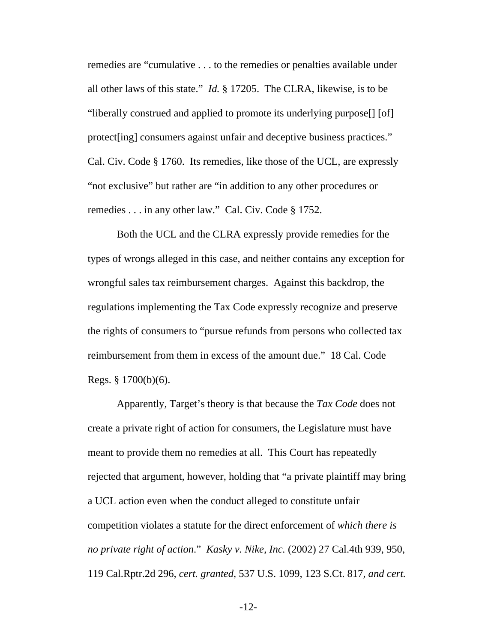remedies are "cumulative . . . to the remedies or penalties available under all other laws of this state." *Id.* § 17205. The CLRA, likewise, is to be "liberally construed and applied to promote its underlying purpose[] [of] protect[ing] consumers against unfair and deceptive business practices." Cal. Civ. Code § 1760. Its remedies, like those of the UCL, are expressly "not exclusive" but rather are "in addition to any other procedures or remedies . . . in any other law." Cal. Civ. Code § 1752.

Both the UCL and the CLRA expressly provide remedies for the types of wrongs alleged in this case, and neither contains any exception for wrongful sales tax reimbursement charges. Against this backdrop, the regulations implementing the Tax Code expressly recognize and preserve the rights of consumers to "pursue refunds from persons who collected tax reimbursement from them in excess of the amount due." 18 Cal. Code Regs. § 1700(b)(6).

Apparently, Target's theory is that because the *Tax Code* does not create a private right of action for consumers, the Legislature must have meant to provide them no remedies at all. This Court has repeatedly rejected that argument, however, holding that "a private plaintiff may bring a UCL action even when the conduct alleged to constitute unfair competition violates a statute for the direct enforcement of *which there is no private right of action*." *Kasky v. Nike, Inc.* (2002) 27 Cal.4th 939, 950, 119 Cal.Rptr.2d 296, *cert. granted*, 537 U.S. 1099, 123 S.Ct. 817, *and cert.* 

-12-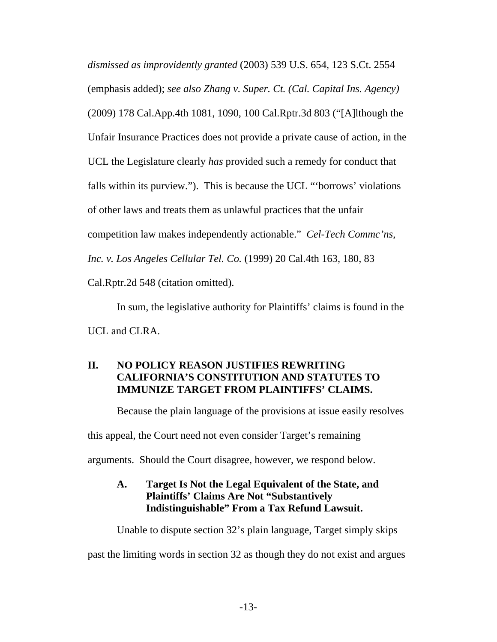<span id="page-19-0"></span>*dismissed as improvidently granted* (2003) 539 U.S. 654, 123 S.Ct. 2554 (emphasis added); *see also Zhang v. Super. Ct. (Cal. Capital Ins. Agency)*  (2009) 178 Cal.App.4th 1081, 1090, 100 Cal.Rptr.3d 803 ("[A]lthough the Unfair Insurance Practices does not provide a private cause of action, in the UCL the Legislature clearly *has* provided such a remedy for conduct that falls within its purview."). This is because the UCL "'borrows' violations of other laws and treats them as unlawful practices that the unfair competition law makes independently actionable." *Cel-Tech Commc'ns, Inc. v. Los Angeles Cellular Tel. Co.* (1999) 20 Cal.4th 163, 180, 83 Cal.Rptr.2d 548 (citation omitted).

In sum, the legislative authority for Plaintiffs' claims is found in the UCL and CLRA.

## **II. NO POLICY REASON JUSTIFIES REWRITING CALIFORNIA'S CONSTITUTION AND STATUTES TO IMMUNIZE TARGET FROM PLAINTIFFS' CLAIMS.**

Because the plain language of the provisions at issue easily resolves this appeal, the Court need not even consider Target's remaining arguments. Should the Court disagree, however, we respond below.

## **A. Target Is Not the Legal Equivalent of the State, and Plaintiffs' Claims Are Not "Substantively Indistinguishable" From a Tax Refund Lawsuit.**

Unable to dispute section 32's plain language, Target simply skips

past the limiting words in section 32 as though they do not exist and argues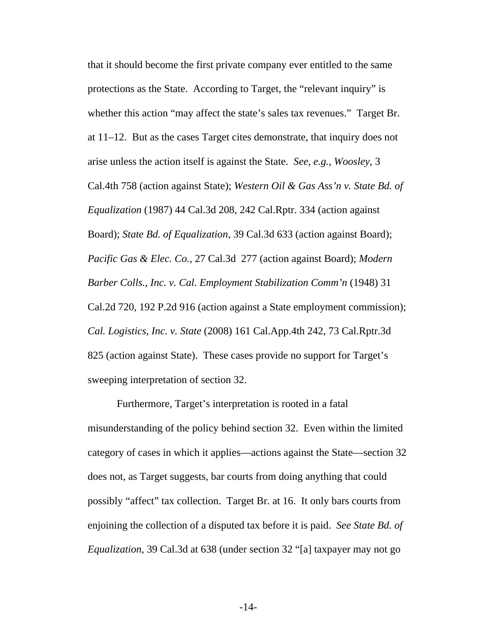that it should become the first private company ever entitled to the same protections as the State. According to Target, the "relevant inquiry" is whether this action "may affect the state's sales tax revenues." Target Br. at 11–12. But as the cases Target cites demonstrate, that inquiry does not arise unless the action itself is against the State. *See*, *e.g.*, *Woosley*, 3 Cal.4th 758 (action against State); *Western Oil & Gas Ass'n v. State Bd. of Equalization* (1987) 44 Cal.3d 208, 242 Cal.Rptr. 334 (action against Board); *State Bd. of Equalization*, 39 Cal.3d 633 (action against Board); *Pacific Gas & Elec. Co.*, 27 Cal.3d 277 (action against Board); *Modern Barber Colls., Inc. v. Cal. Employment Stabilization Comm'n* (1948) 31 Cal.2d 720, 192 P.2d 916 (action against a State employment commission); *Cal. Logistics, Inc. v. State* (2008) 161 Cal.App.4th 242, 73 Cal.Rptr.3d 825 (action against State). These cases provide no support for Target's sweeping interpretation of section 32.

Furthermore, Target's interpretation is rooted in a fatal misunderstanding of the policy behind section 32. Even within the limited category of cases in which it applies—actions against the State—section 32 does not, as Target suggests, bar courts from doing anything that could possibly "affect" tax collection. Target Br. at 16. It only bars courts from enjoining the collection of a disputed tax before it is paid. *See State Bd. of Equalization*, 39 Cal.3d at 638 (under section 32 "[a] taxpayer may not go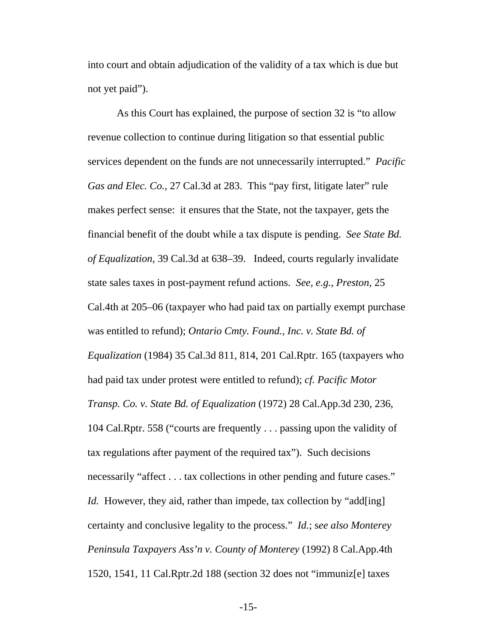into court and obtain adjudication of the validity of a tax which is due but not yet paid").

As this Court has explained, the purpose of section 32 is "to allow revenue collection to continue during litigation so that essential public services dependent on the funds are not unnecessarily interrupted." *Pacific Gas and Elec. Co.*, 27 Cal.3d at 283. This "pay first, litigate later" rule makes perfect sense: it ensures that the State, not the taxpayer, gets the financial benefit of the doubt while a tax dispute is pending. *See State Bd. of Equalization*, 39 Cal.3d at 638–39. Indeed, courts regularly invalidate state sales taxes in post-payment refund actions. *See, e.g.*, *Preston*, 25 Cal.4th at 205–06 (taxpayer who had paid tax on partially exempt purchase was entitled to refund); *Ontario Cmty. Found., Inc. v. State Bd. of Equalization* (1984) 35 Cal.3d 811, 814, 201 Cal.Rptr. 165 (taxpayers who had paid tax under protest were entitled to refund); *cf. Pacific Motor Transp. Co. v. State Bd. of Equalization* (1972) 28 Cal.App.3d 230, 236, 104 Cal.Rptr. 558 ("courts are frequently . . . passing upon the validity of tax regulations after payment of the required tax"). Such decisions necessarily "affect . . . tax collections in other pending and future cases." *Id.* However, they aid, rather than impede, tax collection by "add[ing] certainty and conclusive legality to the process." *Id.*; s*ee also Monterey Peninsula Taxpayers Ass'n v. County of Monterey* (1992) 8 Cal.App.4th 1520, 1541, 11 Cal.Rptr.2d 188 (section 32 does not "immuniz[e] taxes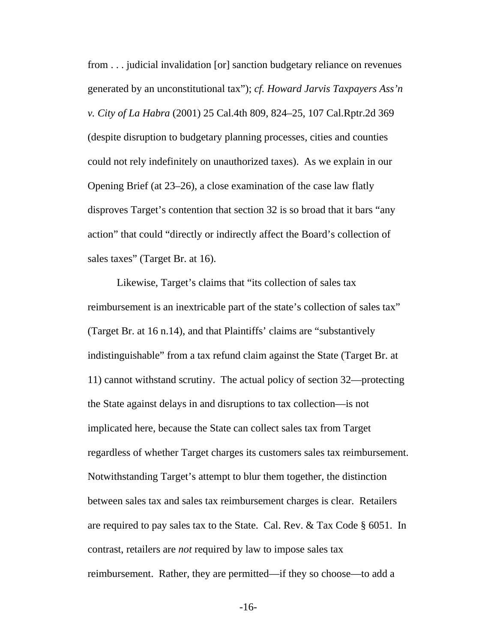from . . . judicial invalidation [or] sanction budgetary reliance on revenues generated by an unconstitutional tax"); *cf. Howard Jarvis Taxpayers Ass'n v. City of La Habra* (2001) 25 Cal.4th 809, 824–25, 107 Cal.Rptr.2d 369 (despite disruption to budgetary planning processes, cities and counties could not rely indefinitely on unauthorized taxes). As we explain in our Opening Brief (at 23–26), a close examination of the case law flatly disproves Target's contention that section 32 is so broad that it bars "any action" that could "directly or indirectly affect the Board's collection of sales taxes" (Target Br. at 16).

Likewise, Target's claims that "its collection of sales tax reimbursement is an inextricable part of the state's collection of sales tax" (Target Br. at 16 n.14), and that Plaintiffs' claims are "substantively indistinguishable" from a tax refund claim against the State (Target Br. at 11) cannot withstand scrutiny. The actual policy of section 32—protecting the State against delays in and disruptions to tax collection—is not implicated here, because the State can collect sales tax from Target regardless of whether Target charges its customers sales tax reimbursement. Notwithstanding Target's attempt to blur them together, the distinction between sales tax and sales tax reimbursement charges is clear. Retailers are required to pay sales tax to the State. Cal. Rev. & Tax Code § 6051. In contrast, retailers are *not* required by law to impose sales tax reimbursement. Rather, they are permitted—if they so choose—to add a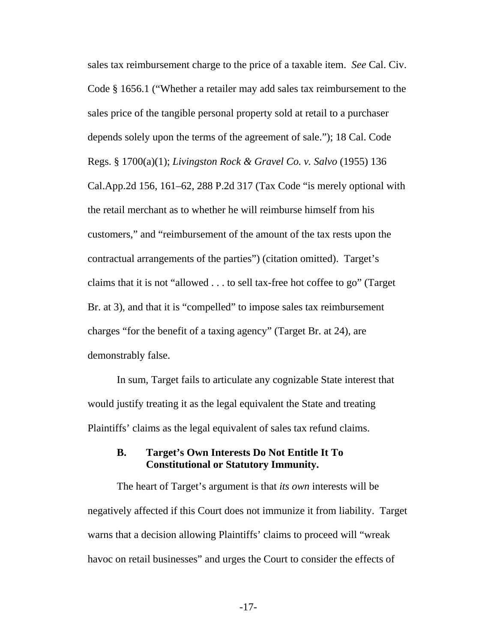<span id="page-23-0"></span>sales tax reimbursement charge to the price of a taxable item. *See* Cal. Civ. Code § 1656.1 ("Whether a retailer may add sales tax reimbursement to the sales price of the tangible personal property sold at retail to a purchaser depends solely upon the terms of the agreement of sale."); 18 Cal. Code Regs. § 1700(a)(1); *Livingston Rock & Gravel Co. v. Salvo* (1955) 136 Cal.App.2d 156, 161–62, 288 P.2d 317 (Tax Code "is merely optional with the retail merchant as to whether he will reimburse himself from his customers," and "reimbursement of the amount of the tax rests upon the contractual arrangements of the parties") (citation omitted). Target's claims that it is not "allowed . . . to sell tax-free hot coffee to go" (Target Br. at 3), and that it is "compelled" to impose sales tax reimbursement charges "for the benefit of a taxing agency" (Target Br. at 24), are demonstrably false.

In sum, Target fails to articulate any cognizable State interest that would justify treating it as the legal equivalent the State and treating Plaintiffs' claims as the legal equivalent of sales tax refund claims.

### **B. Target's Own Interests Do Not Entitle It To Constitutional or Statutory Immunity.**

The heart of Target's argument is that *its own* interests will be negatively affected if this Court does not immunize it from liability. Target warns that a decision allowing Plaintiffs' claims to proceed will "wreak havoc on retail businesses" and urges the Court to consider the effects of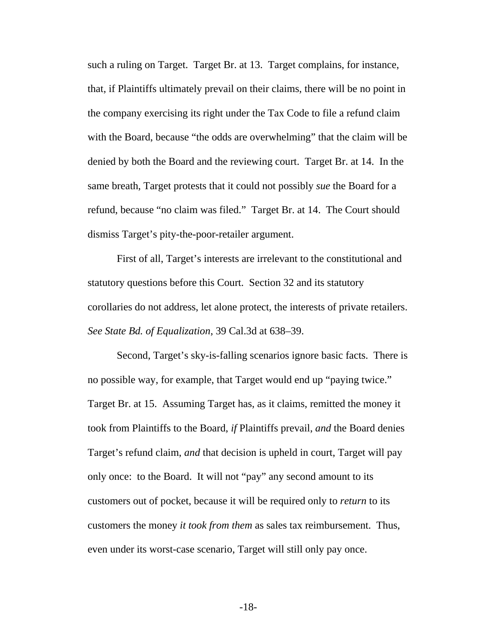such a ruling on Target. Target Br. at 13. Target complains, for instance, that, if Plaintiffs ultimately prevail on their claims, there will be no point in the company exercising its right under the Tax Code to file a refund claim with the Board, because "the odds are overwhelming" that the claim will be denied by both the Board and the reviewing court. Target Br. at 14. In the same breath, Target protests that it could not possibly *sue* the Board for a refund, because "no claim was filed." Target Br. at 14. The Court should dismiss Target's pity-the-poor-retailer argument.

First of all, Target's interests are irrelevant to the constitutional and statutory questions before this Court. Section 32 and its statutory corollaries do not address, let alone protect, the interests of private retailers. *See State Bd. of Equalization*, 39 Cal.3d at 638–39.

Second, Target's sky-is-falling scenarios ignore basic facts. There is no possible way, for example, that Target would end up "paying twice." Target Br. at 15. Assuming Target has, as it claims, remitted the money it took from Plaintiffs to the Board, *if* Plaintiffs prevail, *and* the Board denies Target's refund claim, *and* that decision is upheld in court, Target will pay only once: to the Board. It will not "pay" any second amount to its customers out of pocket, because it will be required only to *return* to its customers the money *it took from them* as sales tax reimbursement. Thus, even under its worst-case scenario, Target will still only pay once.

-18-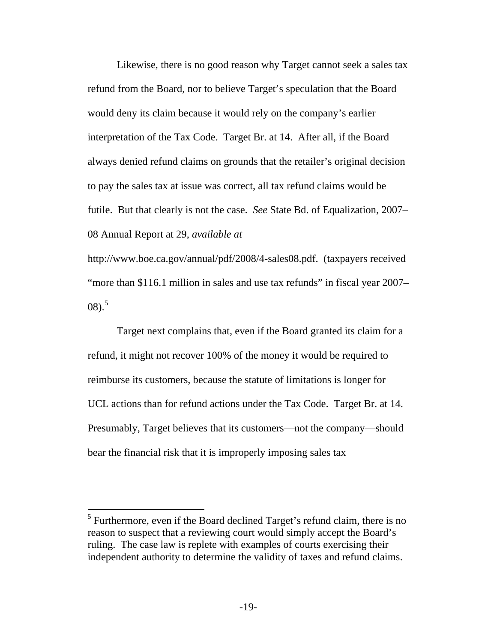Likewise, there is no good reason why Target cannot seek a sales tax refund from the Board, nor to believe Target's speculation that the Board would deny its claim because it would rely on the company's earlier interpretation of the Tax Code. Target Br. at 14. After all, if the Board always denied refund claims on grounds that the retailer's original decision to pay the sales tax at issue was correct, all tax refund claims would be futile. But that clearly is not the case. *See* State Bd. of Equalization, 2007– 08 Annual Report at 29, *available at*

http://www.boe.ca.gov/annual/pdf/2008/4-sales08.pdf. (taxpayers received "more than \$116.1 million in sales and use tax refunds" in fiscal year 2007–  $(08).$ <sup>[5](#page-25-0)</sup>

Target next complains that, even if the Board granted its claim for a refund, it might not recover 100% of the money it would be required to reimburse its customers, because the statute of limitations is longer for UCL actions than for refund actions under the Tax Code. Target Br. at 14. Presumably, Target believes that its customers—not the company—should bear the financial risk that it is improperly imposing sales tax

 $\overline{a}$ 

<span id="page-25-0"></span><sup>&</sup>lt;sup>5</sup> Furthermore, even if the Board declined Target's refund claim, there is no reason to suspect that a reviewing court would simply accept the Board's ruling. The case law is replete with examples of courts exercising their independent authority to determine the validity of taxes and refund claims.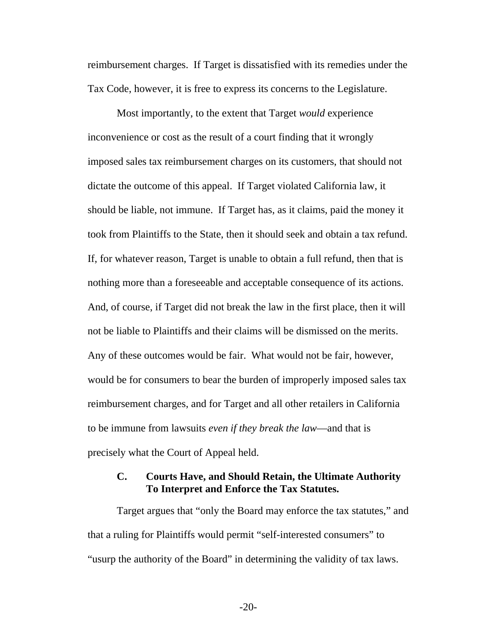<span id="page-26-0"></span>reimbursement charges. If Target is dissatisfied with its remedies under the Tax Code, however, it is free to express its concerns to the Legislature.

Most importantly, to the extent that Target *would* experience inconvenience or cost as the result of a court finding that it wrongly imposed sales tax reimbursement charges on its customers, that should not dictate the outcome of this appeal. If Target violated California law, it should be liable, not immune. If Target has, as it claims, paid the money it took from Plaintiffs to the State, then it should seek and obtain a tax refund. If, for whatever reason, Target is unable to obtain a full refund, then that is nothing more than a foreseeable and acceptable consequence of its actions. And, of course, if Target did not break the law in the first place, then it will not be liable to Plaintiffs and their claims will be dismissed on the merits. Any of these outcomes would be fair. What would not be fair, however, would be for consumers to bear the burden of improperly imposed sales tax reimbursement charges, and for Target and all other retailers in California to be immune from lawsuits *even if they break the law*—and that is precisely what the Court of Appeal held.

### **C. Courts Have, and Should Retain, the Ultimate Authority To Interpret and Enforce the Tax Statutes.**

Target argues that "only the Board may enforce the tax statutes," and that a ruling for Plaintiffs would permit "self-interested consumers" to "usurp the authority of the Board" in determining the validity of tax laws.

-20-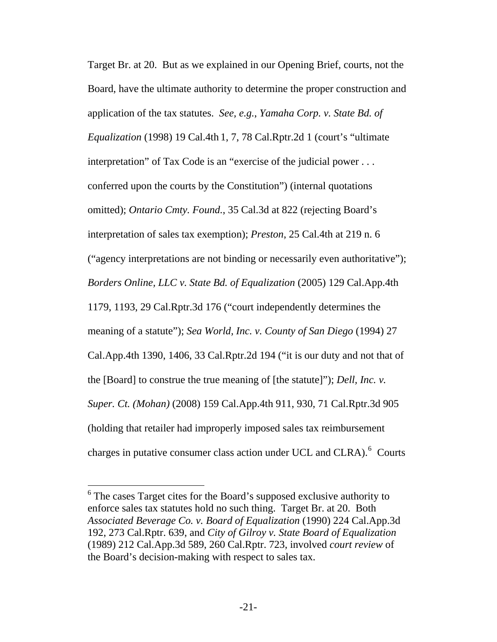Target Br. at 20. But as we explained in our Opening Brief, courts, not the Board, have the ultimate authority to determine the proper construction and application of the tax statutes. *See, e.g.*, *Yamaha Corp. v. State Bd. of Equalization* (1998) 19 Cal.4th 1, 7, 78 Cal.Rptr.2d 1 (court's "ultimate interpretation" of Tax Code is an "exercise of the judicial power . . . conferred upon the courts by the Constitution") (internal quotations omitted); *Ontario Cmty. Found.*, 35 Cal.3d at 822 (rejecting Board's interpretation of sales tax exemption); *Preston*, 25 Cal.4th at 219 n. 6 ("agency interpretations are not binding or necessarily even authoritative"); *Borders Online, LLC v. State Bd. of Equalization* (2005) 129 Cal.App.4th 1179, 1193, 29 Cal.Rptr.3d 176 ("court independently determines the meaning of a statute"); *Sea World, Inc. v. County of San Diego* (1994) 27 Cal.App.4th 1390, 1406, 33 Cal.Rptr.2d 194 ("it is our duty and not that of the [Board] to construe the true meaning of [the statute]"); *Dell, Inc. v. Super. Ct. (Mohan)* (2008) 159 Cal.App.4th 911, 930, 71 Cal.Rptr.3d 905 (holding that retailer had improperly imposed sales tax reimbursement charges in putative consumer class action under UCL and CLRA). $<sup>6</sup>$  $<sup>6</sup>$  $<sup>6</sup>$  Courts</sup>

 $\overline{a}$ 

<span id="page-27-0"></span> $6$  The cases Target cites for the Board's supposed exclusive authority to enforce sales tax statutes hold no such thing. Target Br. at 20. Both *Associated Beverage Co. v. Board of Equalization* (1990) 224 Cal.App.3d 192, 273 Cal.Rptr. 639, and *City of Gilroy v. State Board of Equalization* (1989) 212 Cal.App.3d 589, 260 Cal.Rptr. 723, involved *court review* of the Board's decision-making with respect to sales tax.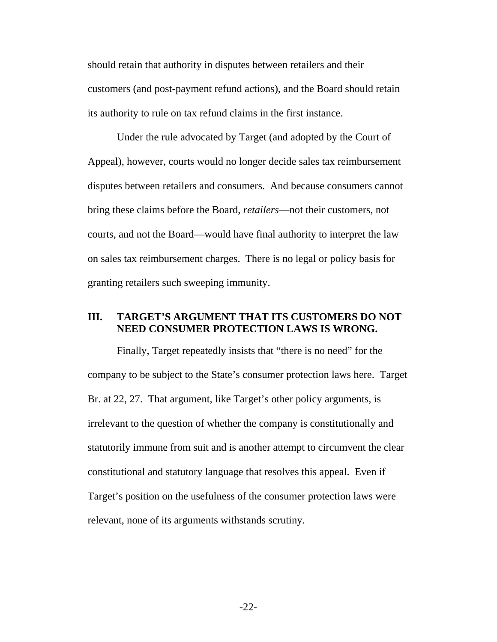<span id="page-28-0"></span>should retain that authority in disputes between retailers and their customers (and post-payment refund actions), and the Board should retain its authority to rule on tax refund claims in the first instance.

Under the rule advocated by Target (and adopted by the Court of Appeal), however, courts would no longer decide sales tax reimbursement disputes between retailers and consumers. And because consumers cannot bring these claims before the Board, *retailers*—not their customers, not courts, and not the Board—would have final authority to interpret the law on sales tax reimbursement charges. There is no legal or policy basis for granting retailers such sweeping immunity.

## **III. TARGET'S ARGUMENT THAT ITS CUSTOMERS DO NOT NEED CONSUMER PROTECTION LAWS IS WRONG.**

Finally, Target repeatedly insists that "there is no need" for the company to be subject to the State's consumer protection laws here. Target Br. at 22, 27. That argument, like Target's other policy arguments, is irrelevant to the question of whether the company is constitutionally and statutorily immune from suit and is another attempt to circumvent the clear constitutional and statutory language that resolves this appeal. Even if Target's position on the usefulness of the consumer protection laws were relevant, none of its arguments withstands scrutiny.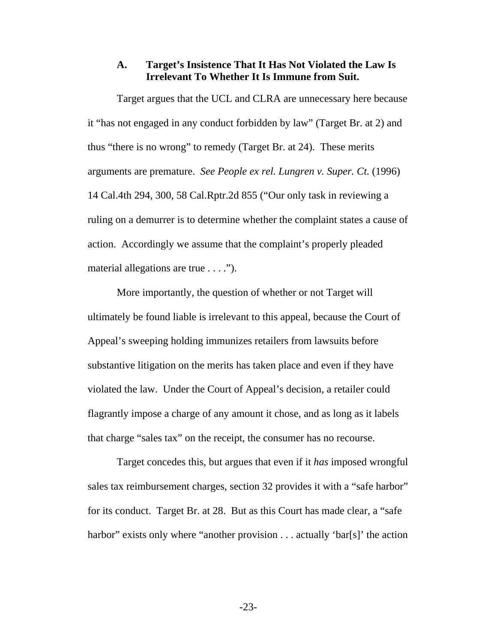#### **A. Target's Insistence That It Has Not Violated the Law Is Irrelevant To Whether It Is Immune from Suit.**

<span id="page-29-0"></span>Target argues that the UCL and CLRA are unnecessary here because it "has not engaged in any conduct forbidden by law" (Target Br. at 2) and thus "there is no wrong" to remedy (Target Br. at 24). These merits arguments are premature. *See People ex rel. Lungren v. Super. Ct.* (1996) 14 Cal.4th 294, 300, 58 Cal.Rptr.2d 855 ("Our only task in reviewing a ruling on a demurrer is to determine whether the complaint states a cause of action. Accordingly we assume that the complaint's properly pleaded material allegations are true . . . .").

More importantly, the question of whether or not Target will ultimately be found liable is irrelevant to this appeal, because the Court of Appeal's sweeping holding immunizes retailers from lawsuits before substantive litigation on the merits has taken place and even if they have violated the law. Under the Court of Appeal's decision, a retailer could flagrantly impose a charge of any amount it chose, and as long as it labels that charge "sales tax" on the receipt, the consumer has no recourse.

Target concedes this, but argues that even if it *has* imposed wrongful sales tax reimbursement charges, section 32 provides it with a "safe harbor" for its conduct. Target Br. at 28. But as this Court has made clear, a "safe harbor" exists only where "another provision . . . actually 'bar[s]' the action

-23-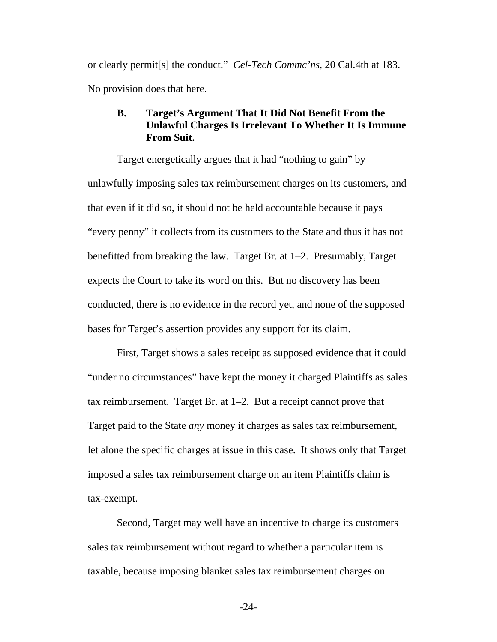<span id="page-30-0"></span>or clearly permit[s] the conduct." *Cel-Tech Commc'ns*, 20 Cal.4th at 183. No provision does that here.

## **B. Target's Argument That It Did Not Benefit From the Unlawful Charges Is Irrelevant To Whether It Is Immune From Suit.**

Target energetically argues that it had "nothing to gain" by unlawfully imposing sales tax reimbursement charges on its customers, and that even if it did so, it should not be held accountable because it pays "every penny" it collects from its customers to the State and thus it has not benefitted from breaking the law. Target Br. at 1–2. Presumably, Target expects the Court to take its word on this. But no discovery has been conducted, there is no evidence in the record yet, and none of the supposed bases for Target's assertion provides any support for its claim.

First, Target shows a sales receipt as supposed evidence that it could "under no circumstances" have kept the money it charged Plaintiffs as sales tax reimbursement. Target Br. at 1–2. But a receipt cannot prove that Target paid to the State *any* money it charges as sales tax reimbursement, let alone the specific charges at issue in this case. It shows only that Target imposed a sales tax reimbursement charge on an item Plaintiffs claim is tax-exempt.

Second, Target may well have an incentive to charge its customers sales tax reimbursement without regard to whether a particular item is taxable, because imposing blanket sales tax reimbursement charges on

-24-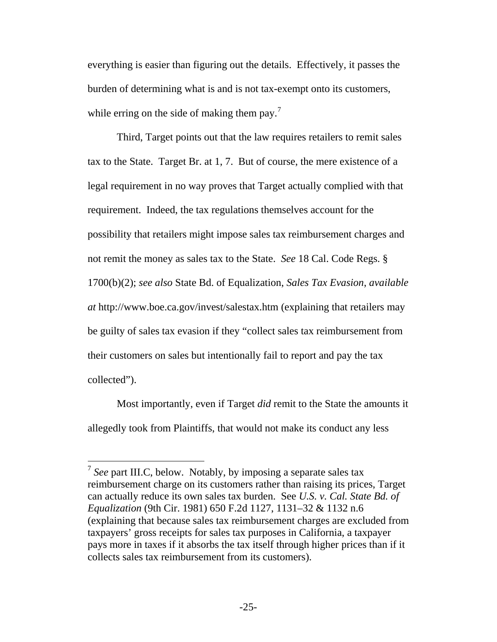everything is easier than figuring out the details. Effectively, it passes the burden of determining what is and is not tax-exempt onto its customers, while erring on the side of making them pay.<sup>[7](#page-31-0)</sup>

Third, Target points out that the law requires retailers to remit sales tax to the State. Target Br. at 1, 7. But of course, the mere existence of a legal requirement in no way proves that Target actually complied with that requirement. Indeed, the tax regulations themselves account for the possibility that retailers might impose sales tax reimbursement charges and not remit the money as sales tax to the State. *See* 18 Cal. Code Regs. § 1700(b)(2); *see also* State Bd. of Equalization, *Sales Tax Evasion*, *available at* http://www.boe.ca.gov/invest/salestax.htm (explaining that retailers may be guilty of sales tax evasion if they "collect sales tax reimbursement from their customers on sales but intentionally fail to report and pay the tax collected").

Most importantly, even if Target *did* remit to the State the amounts it allegedly took from Plaintiffs, that would not make its conduct any less

 $\overline{a}$ 

<span id="page-31-0"></span><sup>7</sup> *See* part III.C, below. Notably, by imposing a separate sales tax reimbursement charge on its customers rather than raising its prices, Target can actually reduce its own sales tax burden. See *U.S. v. Cal. State Bd. of Equalization* (9th Cir. 1981) 650 F.2d 1127, 1131–32 & 1132 n.6 (explaining that because sales tax reimbursement charges are excluded from taxpayers' gross receipts for sales tax purposes in California, a taxpayer pays more in taxes if it absorbs the tax itself through higher prices than if it collects sales tax reimbursement from its customers).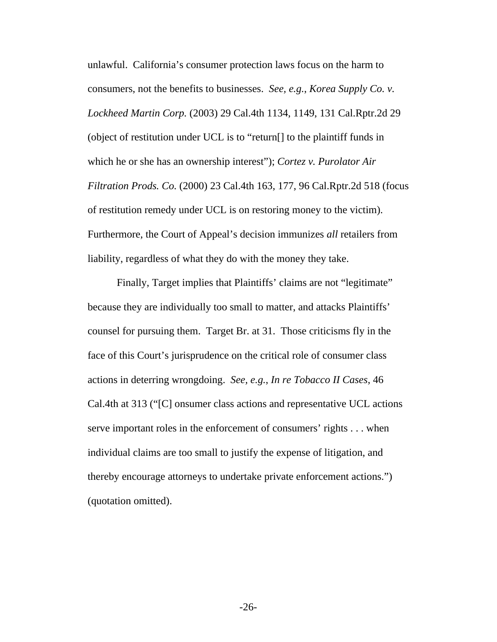unlawful. California's consumer protection laws focus on the harm to consumers, not the benefits to businesses. *See, e.g.*, *Korea Supply Co. v. Lockheed Martin Corp.* (2003) 29 Cal.4th 1134, 1149, 131 Cal.Rptr.2d 29 (object of restitution under UCL is to "return[] to the plaintiff funds in which he or she has an ownership interest"); *Cortez v. Purolator Air Filtration Prods. Co.* (2000) 23 Cal.4th 163, 177, 96 Cal.Rptr.2d 518 (focus of restitution remedy under UCL is on restoring money to the victim). Furthermore, the Court of Appeal's decision immunizes *all* retailers from liability, regardless of what they do with the money they take.

Finally, Target implies that Plaintiffs' claims are not "legitimate" because they are individually too small to matter, and attacks Plaintiffs' counsel for pursuing them. Target Br. at 31. Those criticisms fly in the face of this Court's jurisprudence on the critical role of consumer class actions in deterring wrongdoing. *See, e.g.*, *In re Tobacco II Cases*, 46 Cal.4th at 313 ("[C] onsumer class actions and representative UCL actions serve important roles in the enforcement of consumers' rights . . . when individual claims are too small to justify the expense of litigation, and thereby encourage attorneys to undertake private enforcement actions.") (quotation omitted).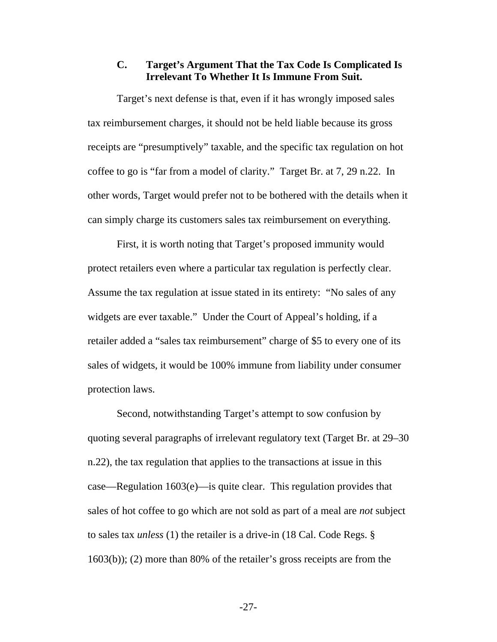### **C. Target's Argument That the Tax Code Is Complicated Is Irrelevant To Whether It Is Immune From Suit.**

<span id="page-33-0"></span>Target's next defense is that, even if it has wrongly imposed sales tax reimbursement charges, it should not be held liable because its gross receipts are "presumptively" taxable, and the specific tax regulation on hot coffee to go is "far from a model of clarity." Target Br. at 7, 29 n.22. In other words, Target would prefer not to be bothered with the details when it can simply charge its customers sales tax reimbursement on everything.

First, it is worth noting that Target's proposed immunity would protect retailers even where a particular tax regulation is perfectly clear. Assume the tax regulation at issue stated in its entirety: "No sales of any widgets are ever taxable." Under the Court of Appeal's holding, if a retailer added a "sales tax reimbursement" charge of \$5 to every one of its sales of widgets, it would be 100% immune from liability under consumer protection laws.

Second, notwithstanding Target's attempt to sow confusion by quoting several paragraphs of irrelevant regulatory text (Target Br. at 29–30 n.22), the tax regulation that applies to the transactions at issue in this case—Regulation 1603(e)—is quite clear. This regulation provides that sales of hot coffee to go which are not sold as part of a meal are *not* subject to sales tax *unless* (1) the retailer is a drive-in (18 Cal. Code Regs. § 1603(b)); (2) more than 80% of the retailer's gross receipts are from the

-27-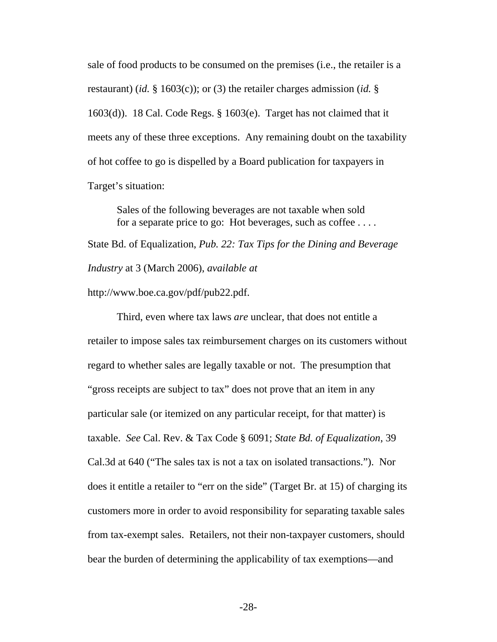sale of food products to be consumed on the premises (i.e., the retailer is a restaurant) (*id.* § 1603(c)); or (3) the retailer charges admission (*id.* § 1603(d)). 18 Cal. Code Regs. § 1603(e). Target has not claimed that it meets any of these three exceptions. Any remaining doubt on the taxability of hot coffee to go is dispelled by a Board publication for taxpayers in Target's situation:

Sales of the following beverages are not taxable when sold for a separate price to go: Hot beverages, such as coffee . . . .

State Bd. of Equalization, *Pub. 22: Tax Tips for the Dining and Beverage Industry* at 3 (March 2006), *available at*

http://www.boe.ca.gov/pdf/pub22.pdf.

Third, even where tax laws *are* unclear, that does not entitle a retailer to impose sales tax reimbursement charges on its customers without regard to whether sales are legally taxable or not. The presumption that "gross receipts are subject to tax" does not prove that an item in any particular sale (or itemized on any particular receipt, for that matter) is taxable. *See* Cal. Rev. & Tax Code § 6091; *State Bd. of Equalization*, 39 Cal.3d at 640 ("The sales tax is not a tax on isolated transactions."). Nor does it entitle a retailer to "err on the side" (Target Br. at 15) of charging its customers more in order to avoid responsibility for separating taxable sales from tax-exempt sales. Retailers, not their non-taxpayer customers, should bear the burden of determining the applicability of tax exemptions—and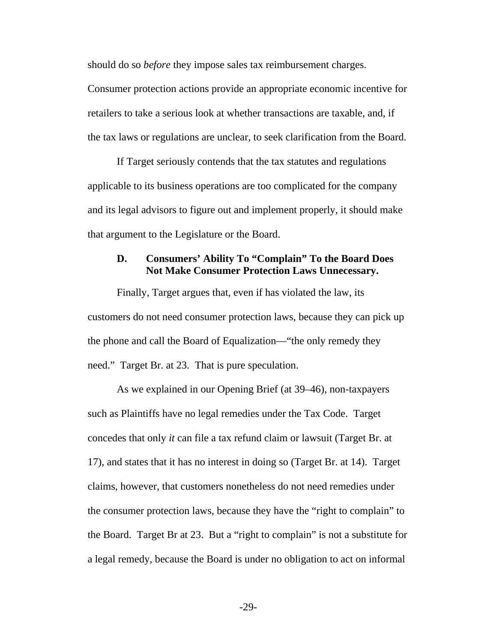<span id="page-35-0"></span>should do so *before* they impose sales tax reimbursement charges.

Consumer protection actions provide an appropriate economic incentive for retailers to take a serious look at whether transactions are taxable, and, if the tax laws or regulations are unclear, to seek clarification from the Board.

If Target seriously contends that the tax statutes and regulations applicable to its business operations are too complicated for the company and its legal advisors to figure out and implement properly, it should make that argument to the Legislature or the Board.

#### **D. Consumers' Ability To "Complain" To the Board Does Not Make Consumer Protection Laws Unnecessary.**

Finally, Target argues that, even if has violated the law, its customers do not need consumer protection laws, because they can pick up the phone and call the Board of Equalization—"the only remedy they need." Target Br. at 23. That is pure speculation.

As we explained in our Opening Brief (at 39–46), non-taxpayers such as Plaintiffs have no legal remedies under the Tax Code. Target concedes that only *it* can file a tax refund claim or lawsuit (Target Br. at 17), and states that it has no interest in doing so (Target Br. at 14). Target claims, however, that customers nonetheless do not need remedies under the consumer protection laws, because they have the "right to complain" to the Board. Target Br at 23. But a "right to complain" is not a substitute for a legal remedy, because the Board is under no obligation to act on informal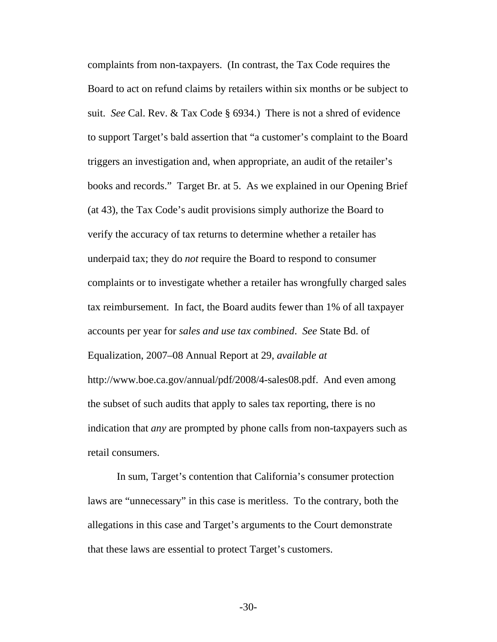complaints from non-taxpayers. (In contrast, the Tax Code requires the Board to act on refund claims by retailers within six months or be subject to suit. *See* Cal. Rev. & Tax Code § 6934.) There is not a shred of evidence to support Target's bald assertion that "a customer's complaint to the Board triggers an investigation and, when appropriate, an audit of the retailer's books and records." Target Br. at 5. As we explained in our Opening Brief (at 43), the Tax Code's audit provisions simply authorize the Board to verify the accuracy of tax returns to determine whether a retailer has underpaid tax; they do *not* require the Board to respond to consumer complaints or to investigate whether a retailer has wrongfully charged sales tax reimbursement. In fact, the Board audits fewer than 1% of all taxpayer accounts per year for *sales and use tax combined*. *See* State Bd. of Equalization, 2007–08 Annual Report at 29, *available at* http://www.boe.ca.gov/annual/pdf/2008/4-sales08.pdf. And even among the subset of such audits that apply to sales tax reporting, there is no indication that *any* are prompted by phone calls from non-taxpayers such as retail consumers.

In sum, Target's contention that California's consumer protection laws are "unnecessary" in this case is meritless. To the contrary, both the allegations in this case and Target's arguments to the Court demonstrate that these laws are essential to protect Target's customers.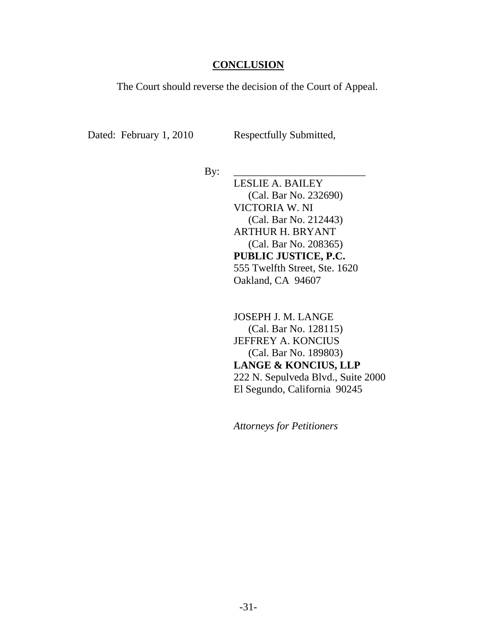#### **CONCLUSION**

<span id="page-37-0"></span>The Court should reverse the decision of the Court of Appeal.

Dated: February 1, 2010 Respectfully Submitted,

By: \_\_\_\_\_\_\_\_\_\_\_\_\_\_\_\_\_\_\_\_\_\_\_\_\_

LESLIE A. BAILEY (Cal. Bar No. 232690) VICTORIA W. NI (Cal. Bar No. 212443) ARTHUR H. BRYANT (Cal. Bar No. 208365) **PUBLIC JUSTICE, P.C.**  555 Twelfth Street, Ste. 1620 Oakland, CA 94607

JOSEPH J. M. LANGE (Cal. Bar No. 128115) JEFFREY A. KONCIUS (Cal. Bar No. 189803) **LANGE & KONCIUS, LLP**  222 N. Sepulveda Blvd., Suite 2000 El Segundo, California 90245

*Attorneys for Petitioners*